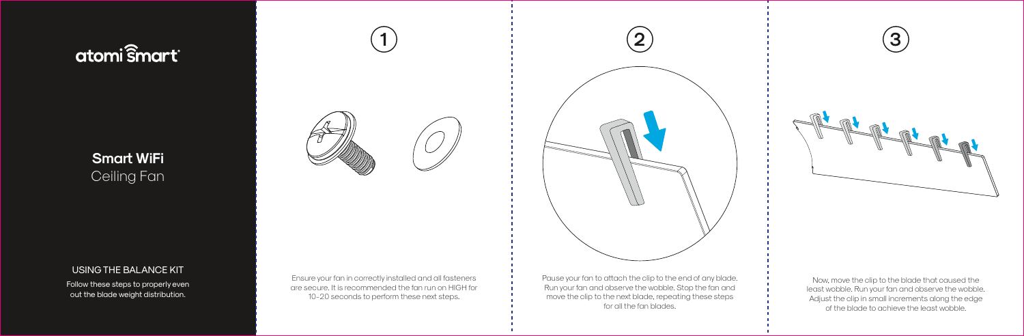# atomi smart®

### **Smart WiFi** Ceiling Fan

#### USING THE BALANCE KIT

Follow these steps to properly even out the blade weight distribution.



Ensure your fan in correctly installed and all fasteners are secure. It is recommended the fan run on HIGH for 10-20 seconds to perform these next steps.

Pause your fan to attach the clip to the end of any blade. Run your fan and observe the wobble. Stop the fan and move the clip to the next blade, repeating these steps for all the fan blades.

Now, move the clip to the blade that caused the least wobble. Run your fan and observe the wobble. Adjust the clip in small increments along the edge of the blade to achieve the least wobble.